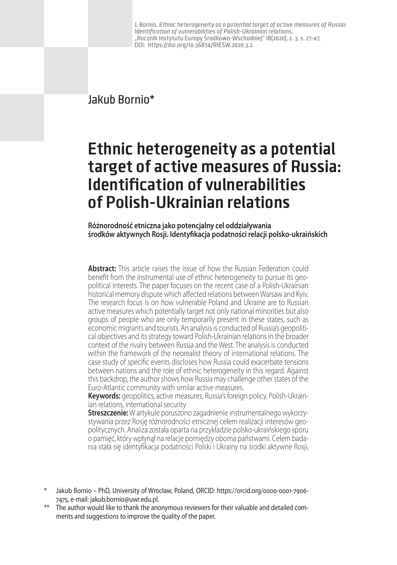J. Bornio, Ethnic heterogeneity as a potential target of active measures of Russia: Identification of vulnerabilities of Polish-Ukrainian relations, "Rocznik Instytutu Europy Środkowo-Wschodniej" 18(2020), z. 3, s. 27-47, DOI: https://doi.org/10.36874/RIESW.2020.3.2.

## Jakub Bornio\*

## **Ethnic heterogeneity as a potential target of active measures of Russia: Identification of vulnerabilities of Polish-Ukrainian relations**

**Różnorodność etniczna jako potencjalny cel oddziaływania środków aktywnych Rosji. Identyfikacja podatności relacji polsko-ukraińskich**

**Abstract:** This article raises the issue of how the Russian Federation could benefit from the instrumental use of ethnic heterogeneity to pursue its geopolitical interests. The paper focuses on the recent case of a Polish-Ukrainian historical memory dispute which affected relations between Warsaw and Kyiv. The research focus is on how vulnerable Poland and Ukraine are to Russian active measures which potentially target not only national minorities but also groups of people who are only temporarily present in these states, such as economic migrants and tourists. An analysis is conducted of Russia's geopolitical objectives and its strategy toward Polish-Ukrainian relations in the broader context of the rivalry between Russia and the West. The analysis is conducted within the framework of the neorealist theory of international relations. The case study of specific events discloses how Russia could exacerbate tensions between nations and the role of ethnic heterogeneity in this regard. Against this backdrop, the author shows how Russia may challenge other states of the Euro-Atlantic community with similar active measures.

**Keywords:** geopolitics, active measures, Russia's foreign policy, Polish-Ukrainian relations, international security

**Streszczenie:** W artykule poruszono zagadnienie instrumentalnego wykorzystywania przez Rosję różnorodności etnicznej celem realizacji interesów geo politycznych. Analiza została oparta na przykładzie polsko-ukraińskiego sporu o pamięć, który wpłynął na relacje pomiędzy oboma państwami. Celem badania stała się identyfikacja podatności Polski i Ukrainy na środki aktywne Rosji,

\*\* The author would like to thank the anonymous reviewers for their valuable and detailed comments and suggestions to improve the quality of the paper.

Jakub Bornio – PhD, University of Wrocław, Poland, ORCID: [https://orcid.org/0000-0001-7906-](https://orcid.org/0000-0001-7906-7475) [7475,](https://orcid.org/0000-0001-7906-7475) e-mail: [jakub.bornio@uwr.edu.pl.](mailto:jakub.bornio@uwr.edu.pl)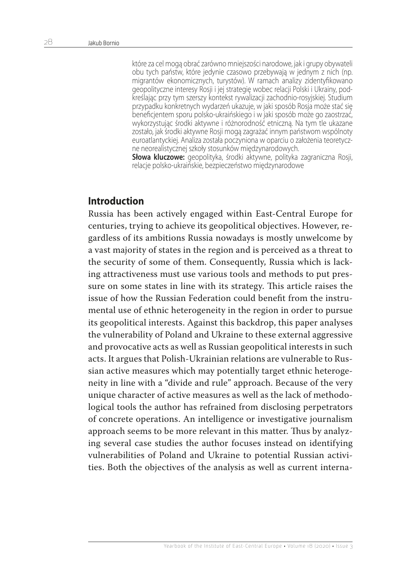które za cel mogą obrać zarówno mniejszości narodowe, jak i grupy obywateli obu tych państw, które jedynie czasowo przebywają w jednym z nich (np. migrantów ekonomicznych, turystów). W ramach analizy zidentyfikowano geopolityczne interesy Rosji i jej strategię wobec relacji Polski i Ukrainy, pod kreślając przy tym szerszy kontekst rywalizacji zachodnio-rosyjskiej. Studium przypadku konkretnych wydarzeń ukazuje, w jaki sposób Rosja może stać się beneficjentem sporu polsko-ukraińskiego i w jaki sposób może go zaostrzać, wykorzystując środki aktywne i różnorodność etniczną. Na tym tle ukazane zostało, jak środki aktywne Rosji mogą zagrażać innym państwom wspólnoty euroatlantyckiej. Analiza została poczyniona w oparciu o założenia teoretycz ne neorealistycznej szkoły stosunków międzynarodowych.

**Słowa kluczowe:** geopolityka, środki aktywne, polityka zagraniczna Rosji, relacje polsko-ukraińskie, bezpieczeństwo międzynarodowe

## **Introduction**

Russia has been actively engaged within East-Central Europe for centuries, trying to achieve its geopolitical objectives. However, regardless of its ambitions Russia nowadays is mostly unwelcome by a vast majority of states in the region and is perceived as a threat to the security of some of them. Consequently, Russia which is lacking attractiveness must use various tools and methods to put pressure on some states in line with its strategy. This article raises the issue of how the Russian Federation could benefit from the instrumental use of ethnic heterogeneity in the region in order to pursue its geopolitical interests. Against this backdrop, this paper analyses the vulnerability of Poland and Ukraine to these external aggressive and provocative acts as well as Russian geopolitical interests in such acts. It argues that Polish-Ukrainian relations are vulnerable to Russian active measures which may potentially target ethnic heterogeneity in line with a "divide and rule" approach. Because of the very unique character of active measures as well as the lack of methodological tools the author has refrained from disclosing perpetrators of concrete operations. An intelligence or investigative journalism approach seems to be more relevant in this matter. Thus by analyzing several case studies the author focuses instead on identifying vulnerabilities of Poland and Ukraine to potential Russian activities. Both the objectives of the analysis as well as current interna-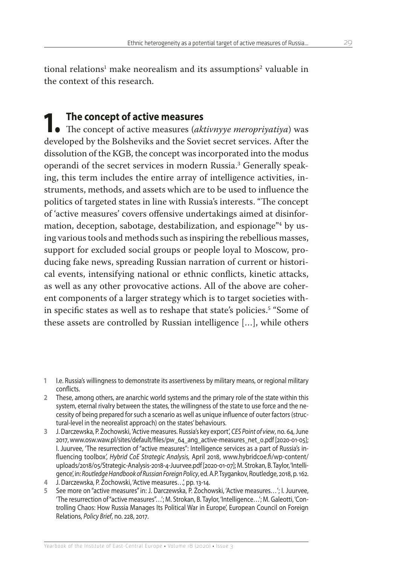tional relations<sup>1</sup> make neorealism and its assumptions<sup>2</sup> valuable in the context of this research.

**1. The concept of active measures**<br>
• The concept of active measures (*aktivnyye meropriyatiya*) was developed by the Bolsheviks and the Soviet secret services. After the dissolution of the KGB, the concept was incorporated into the modus operandi of the secret services in modern Russia.3 Generally speaking, this term includes the entire array of intelligence activities, instruments, methods, and assets which are to be used to influence the politics of targeted states in line with Russia's interests. "The concept of 'active measures' covers offensive undertakings aimed at disinformation, deception, sabotage, destabilization, and espionage"4 by using various tools and methods such as inspiring the rebellious masses, support for excluded social groups or people loyal to Moscow, producing fake news, spreading Russian narration of current or historical events, intensifying national or ethnic conflicts, kinetic attacks, as well as any other provocative actions. All of the above are coherent components of a larger strategy which is to target societies within specific states as well as to reshape that state's policies.5 "Some of these assets are controlled by Russian intelligence […], while others

- **2** These, among others, are anarchic world systems and the primary role of the state within this system, eternal rivalry between the states, the willingness of the state to use force and the necessity of being prepared for such a scenario as well as unique influence of outer factors (structural-level in the neorealist approach) on the states' behaviours.
- **3** J. Darczewska, P. Żochowski, 'Active measures. Russia's key export', *CES Point of view*, no. 64, June 2017, www.osw.waw.pl/sites/default/files/pw\_64\_ang\_active-measures\_net\_0.pdf [2020-01-05]; I. Juurvee, 'The resurrection of "active measures": Intelligence services as a part of Russia's influencing toolbox', *Hybrid CoE Strategic Analysis,* April 2018, www.hybridcoe.fi/wp-content/ uploads/2018/05/Strategic-Analysis-2018-4-Juurvee.pdf[2020-01-07]; M. Strokan, B. Taylor, 'Intelligence', in: *Routledge Handbook of Russian Foreign Policy*, ed. A.P. Tsygankov, Routledge, 2018, p. 162.
- **4** J. Darczewska, P. Żochowski, 'Active measures…', pp. 13-14.
- **5** See more on "active measures" in: J. Darczewska, P. Żochowski, 'Active measures*…*'; I. Juurvee, 'The resurrection of "active measures"…'; M. Strokan, B. Taylor, 'Intelligence…'; M. Galeotti, 'Controlling Chaos: How Russia Manages Its Political War in Europe', European Council on Foreign Relations, *Policy Brief*, no. 228, 2017.

**<sup>1</sup>** I.e. Russia's willingness to demonstrate its assertiveness by military means, or regional military conflicts.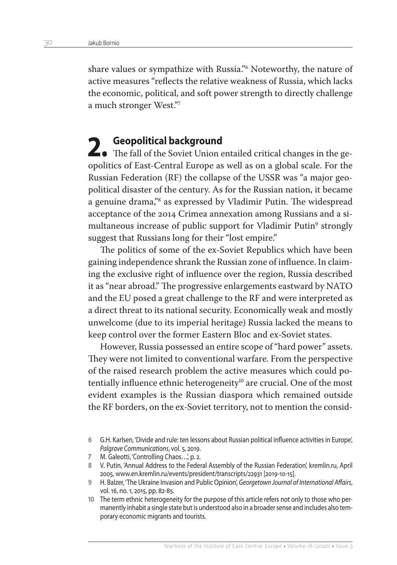share values or sympathize with Russia."6 Noteworthy, the nature of active measures "reflects the relative weakness of Russia, which lacks the economic, political, and soft power strength to directly challenge a much stronger West."7

**2.** Geopolitical background<br>
The fall of the Soviet Union entailed critical changes in the geopolitics of East-Central Europe as well as on a global scale. For the Russian Federation (RF) the collapse of the USSR was "a major geopolitical disaster of the century. As for the Russian nation, it became a genuine drama,"8 as expressed by Vladimir Putin. The widespread acceptance of the 2014 Crimea annexation among Russians and a simultaneous increase of public support for Vladimir Putin<sup>9</sup> strongly suggest that Russians long for their "lost empire."

The politics of some of the ex-Soviet Republics which have been gaining independence shrank the Russian zone of influence. In claiming the exclusive right of influence over the region, Russia described it as "near abroad." The progressive enlargements eastward by NATO and the EU posed a great challenge to the RF and were interpreted as a direct threat to its national security. Economically weak and mostly unwelcome (due to its imperial heritage) Russia lacked the means to keep control over the former Eastern Bloc and ex-Soviet states.

However, Russia possessed an entire scope of "hard power" assets. They were not limited to conventional warfare. From the perspective of the raised research problem the active measures which could potentially influence ethnic heterogeneity<sup>10</sup> are crucial. One of the most evident examples is the Russian diaspora which remained outside the RF borders, on the ex-Soviet territory, not to mention the consid-

- **7** M. Galeotti, 'Controlling Chaos…', p. 2.
- **8** V. Putin, 'Annual Address to the Federal Assembly of the Russian Federation', kremlin.ru, April 2005, www.en.kremlin.ru/events/president/transcripts/22931 [2019-10-15].
- **9** H. Balzer, 'The Ukraine Invasion and Public Opinion', *Georgetown Journal of International Affairs*, vol. 16, no. 1, 2015, pp. 82-85.
- **10** The term ethnic heterogeneity for the purpose of this article refers not only to those who permanently inhabit a single state but is understood also in a broader sense and includes also temporary economic migrants and tourists.

**<sup>6</sup>** G.H. Karlsen, 'Divide and rule: ten lessons about Russian political influence activities in Europe', *Palgrave Communications*, vol. 5, 2019.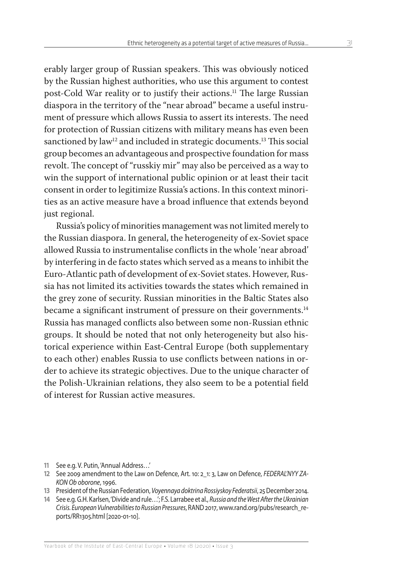erably larger group of Russian speakers. This was obviously noticed by the Russian highest authorities, who use this argument to contest post-Cold War reality or to justify their actions.<sup>11</sup> The large Russian diaspora in the territory of the "near abroad" became a useful instrument of pressure which allows Russia to assert its interests. The need for protection of Russian citizens with military means has even been sanctioned by law<sup>12</sup> and included in strategic documents.<sup>13</sup> This social group becomes an advantageous and prospective foundation for mass revolt. The concept of "russkiy mir" may also be perceived as a way to win the support of international public opinion or at least their tacit consent in order to legitimize Russia's actions. In this context minorities as an active measure have a broad influence that extends beyond just regional.

Russia's policy of minorities management was not limited merely to the Russian diaspora. In general, the heterogeneity of ex-Soviet space allowed Russia to instrumentalise conflicts in the whole 'near abroad' by interfering in de facto states which served as a means to inhibit the Euro-Atlantic path of development of ex-Soviet states. However, Russia has not limited its activities towards the states which remained in the grey zone of security. Russian minorities in the Baltic States also became a significant instrument of pressure on their governments.<sup>14</sup> Russia has managed conflicts also between some non-Russian ethnic groups. It should be noted that not only heterogeneity but also historical experience within East-Central Europe (both supplementary to each other) enables Russia to use conflicts between nations in order to achieve its strategic objectives. Due to the unique character of the Polish-Ukrainian relations, they also seem to be a potential field of interest for Russian active measures.

- **11** See e.g. V. Putin, 'Annual Address…'
- **12** See 2009 amendment to the Law on Defence, Art. 10: 2\_1: 3, Law on Defence, *FEDERAL'NYY ZA-KON Ob oborone*, 1996.
- **13** President of the Russian Federation, *Voyennaya doktrina Rossiyskoy Federatsii*, 25 December 2014.
- **14** See e.g. G.H. Karlsen, 'Divide and rule…'; F.S. Larrabee et al., *Russia and the West After the Ukrainian Crisis. European Vulnerabilities to Russian Pressures*, RAND 2017, www.rand.org/pubs/research\_reports/RR1305.html [2020-01-10].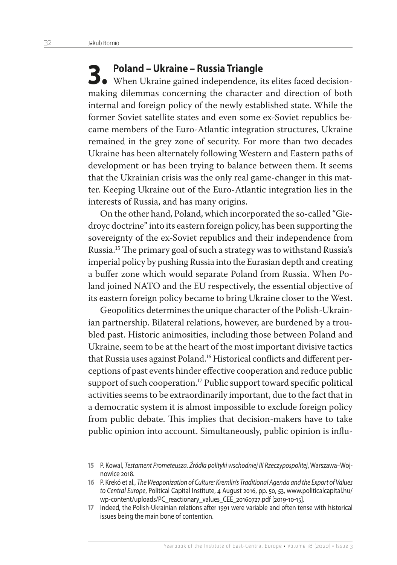**3. Poland – Ukraine – Russia Triangle<br>
When Ukraine gained independence, its elites faced decision**making dilemmas concerning the character and direction of both internal and foreign policy of the newly established state. While the former Soviet satellite states and even some ex-Soviet republics became members of the Euro-Atlantic integration structures, Ukraine remained in the grey zone of security. For more than two decades Ukraine has been alternately following Western and Eastern paths of development or has been trying to balance between them. It seems that the Ukrainian crisis was the only real game-changer in this matter. Keeping Ukraine out of the Euro-Atlantic integration lies in the interests of Russia, and has many origins.

On the other hand, Poland, which incorporated the so-called "Giedroyc doctrine" into its eastern foreign policy, has been supporting the sovereignty of the ex-Soviet republics and their independence from Russia.15 The primary goal of such a strategy was to withstand Russia's imperial policy by pushing Russia into the Eurasian depth and creating a buffer zone which would separate Poland from Russia. When Poland joined NATO and the EU respectively, the essential objective of its eastern foreign policy became to bring Ukraine closer to the West.

Geopolitics determines the unique character of the Polish-Ukrainian partnership. Bilateral relations, however, are burdened by a troubled past. Historic animosities, including those between Poland and Ukraine, seem to be at the heart of the most important divisive tactics that Russia uses against Poland.<sup>16</sup> Historical conflicts and different perceptions of past events hinder effective cooperation and reduce public support of such cooperation.<sup>17</sup> Public support toward specific political activities seems to be extraordinarily important, due to the fact that in a democratic system it is almost impossible to exclude foreign policy from public debate. This implies that decision-makers have to take public opinion into account. Simultaneously, public opinion is influ-

**<sup>15</sup>** P. Kowal, *Testament Prometeusza. Źródła polityki wschodniej III Rzeczypospolitej*, Warszawa–Wojnowice 2018.

**<sup>16</sup>** P. Krekó et al., *The Weaponization of Culture: Kremlin's Traditional Agenda and the Export of Values to Central Europe*, Political Capital Institute, 4 August 2016, pp. 50, 53, www.politicalcapital.hu/ wp-content/uploads/PC\_reactionary\_values\_CEE\_20160727.pdf [2019-10-15].

**<sup>17</sup>** Indeed, the Polish-Ukrainian relations after 1991 were variable and often tense with historical issues being the main bone of contention.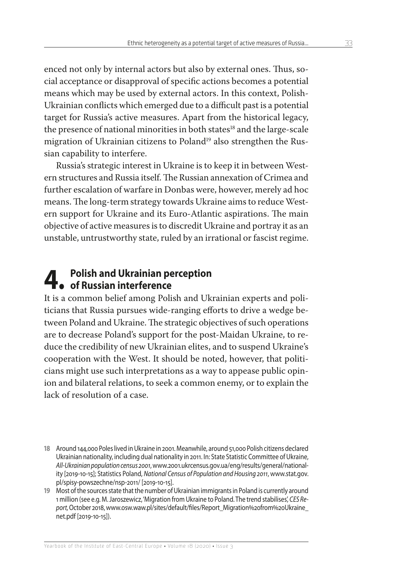enced not only by internal actors but also by external ones. Thus, social acceptance or disapproval of specific actions becomes a potential means which may be used by external actors. In this context, Polish-Ukrainian conflicts which emerged due to a difficult past is a potential target for Russia's active measures. Apart from the historical legacy, the presence of national minorities in both states<sup>18</sup> and the large-scale migration of Ukrainian citizens to Poland<sup>19</sup> also strengthen the Russian capability to interfere.

Russia's strategic interest in Ukraine is to keep it in between Western structures and Russia itself. The Russian annexation of Crimea and further escalation of warfare in Donbas were, however, merely ad hoc means. The long-term strategy towards Ukraine aims to reduce Western support for Ukraine and its Euro-Atlantic aspirations. The main objective of active measures is to discredit Ukraine and portray it as an unstable, untrustworthy state, ruled by an irrational or fascist regime.

# **4. Polish and Ukrainian perception of Russian interference**

It is a common belief among Polish and Ukrainian experts and politicians that Russia pursues wide-ranging efforts to drive a wedge between Poland and Ukraine. The strategic objectives of such operations are to decrease Poland's support for the post-Maidan Ukraine, to reduce the credibility of new Ukrainian elites, and to suspend Ukraine's cooperation with the West. It should be noted, however, that politicians might use such interpretations as a way to appease public opinion and bilateral relations, to seek a common enemy, or to explain the lack of resolution of a case.

**<sup>18</sup>** Around 144,000 Poles lived in Ukraine in 2001. Meanwhile, around 51,000 Polish citizens declared Ukrainian nationality, including dual nationality in 2011. In: State Statistic Committee of Ukraine, *All-Ukrainian population census 2001*, www.2001.ukrcensus.gov.ua/eng/results/general/nationality [2019-10-15]; Statistics Poland, *National Census of Population and Housing 2011*, www.stat.gov. pl/spisy-powszechne/nsp-2011/ [2019-10-15].

**<sup>19</sup>** Most of the sources state that the number of Ukrainian immigrants in Poland is currently around 1 million (see e.g. M. Jaroszewicz, 'Migration from Ukraine to Poland. The trend stabilises', *CES Report,* October 2018, www.osw.waw.pl/sites/default/files/Report\_Migration%20from%20Ukraine\_ net.pdf [2019-10-15]).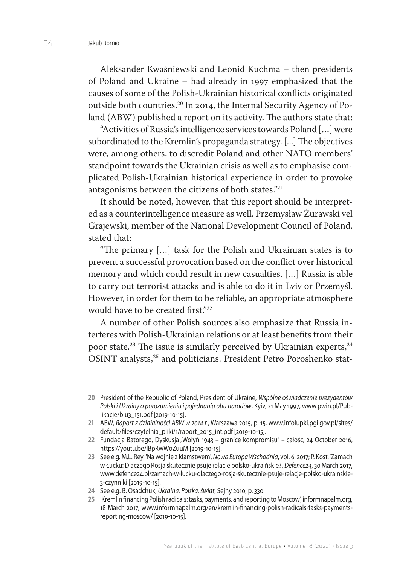Aleksander Kwaśniewski and Leonid Kuchma – then presidents of Poland and Ukraine – had already in 1997 emphasized that the causes of some of the Polish-Ukrainian historical conflicts originated outside both countries.20 In 2014, the Internal Security Agency of Poland (ABW) published a report on its activity. The authors state that:

"Activities of Russia's intelligence services towards Poland […] were subordinated to the Kremlin's propaganda strategy. [...] The objectives were, among others, to discredit Poland and other NATO members' standpoint towards the Ukrainian crisis as well as to emphasise complicated Polish-Ukrainian historical experience in order to provoke antagonisms between the citizens of both states."21

It should be noted, however, that this report should be interpreted as a counterintelligence measure as well. Przemysław Żurawski vel Grajewski, member of the National Development Council of Poland, stated that:

"The primary […] task for the Polish and Ukrainian states is to prevent a successful provocation based on the conflict over historical memory and which could result in new casualties. […] Russia is able to carry out terrorist attacks and is able to do it in Lviv or Przemyśl. However, in order for them to be reliable, an appropriate atmosphere would have to be created first."22

A number of other Polish sources also emphasize that Russia interferes with Polish-Ukrainian relations or at least benefits from their poor state.<sup>23</sup> The issue is similarly perceived by Ukrainian experts,<sup>24</sup> OSINT analysts,<sup>25</sup> and politicians. President Petro Poroshenko stat-

- **22** Fundacja Batorego, Dyskusja "Wołyń 1943 granice kompromisu"całość, 24 October 2016, https://youtu.be/lBpRwW0ZuuM [2019-10-15].
- **23** See e.g. M.L. Rey, 'Na wojnie z kłamstwem', *Nowa Europa Wschodnia*, vol. 6, 2017; P. Kost, 'Zamach w Łucku: Dlaczego Rosja skutecznie psuje relacje polsko-ukraińskie?', *Defence24*, 30 March 2017, www.defence24.pl/zamach-w-lucku-dlaczego-rosja-skutecznie-psuje-relacje-polsko-ukrainskie-3-czynniki [2019-10-15].
- **24** See e.g. B. Osadchuk, *Ukraina, Polska, świat*, Sejny 2010, p. 330.
- **25** 'Kremlin financing Polish radicals: tasks, payments, and reporting to Moscow', informnapalm.org, 18 March 2017, www.informnapalm.org/en/kremlin-financing-polish-radicals-tasks-paymentsreporting-moscow/ [2019-10-15].

**<sup>20</sup>** President of the Republic of Poland, President of Ukraine, *Wspólne oświadczenie prezydentów Polski i Ukrainy o porozumieniu i pojednaniu obu narodów*, Kyiv, 21 May 1997, www.pwin.pl/Publikacje/biu3\_151.pdf [2019-10-15].

**<sup>21</sup>** ABW, *Raport z działalności ABW w 2014 r.*, Warszawa 2015, p. 15, www.infolupki.pgi.gov.pl/sites/ default/files/czytelnia\_pliki/1/raport\_2015\_int.pdf [2019-10-15].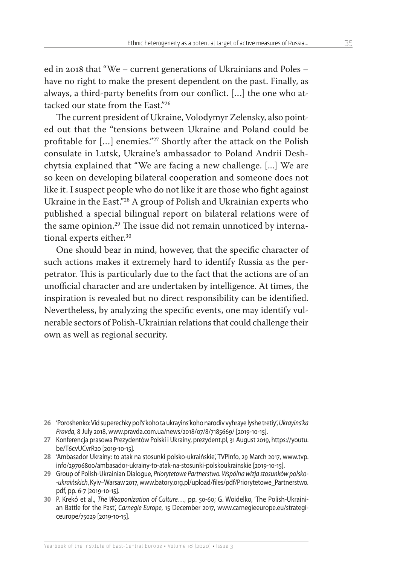ed in 2018 that "We – current generations of Ukrainians and Poles – have no right to make the present dependent on the past. Finally, as always, a third-party benefits from our conflict. […] the one who attacked our state from the East"<sup>26</sup>

The current president of Ukraine, Volodymyr Zelensky, also pointed out that the "tensions between Ukraine and Poland could be profitable for […] enemies."27 Shortly after the attack on the Polish consulate in Lutsk, Ukraine's ambassador to Poland Andrii Deshchytsia explained that "We are facing a new challenge. [...] We are so keen on developing bilateral cooperation and someone does not like it. I suspect people who do not like it are those who fight against Ukraine in the East."28 A group of Polish and Ukrainian experts who published a special bilingual report on bilateral relations were of the same opinion.<sup>29</sup> The issue did not remain unnoticed by international experts either.<sup>30</sup>

One should bear in mind, however, that the specific character of such actions makes it extremely hard to identify Russia as the perpetrator. This is particularly due to the fact that the actions are of an unofficial character and are undertaken by intelligence. At times, the inspiration is revealed but no direct responsibility can be identified. Nevertheless, by analyzing the specific events, one may identify vulnerable sectors of Polish-Ukrainian relations that could challenge their own as well as regional security.

- **27** Konferencja prasowa Prezydentów Polski i Ukrainy, prezydent.pl, 31 August 2019, https://youtu. be/T6cvUCvrR20 [2019-10-15].
- **28** 'Ambasador Ukrainy: to atak na stosunki polsko-ukraińskie', TVPInfo, 29 March 2017, www.tvp. info/29706800/ambasador-ukrainy-to-atak-na-stosunki-polskoukrainskie [2019-10-15].
- **29** Group of Polish-Ukrainian Dialogue, *Priorytetowe Partnerstwo. Wspólna wizja stosunków polsko- -ukraińskich*, Kyiv–Warsaw 2017, www.batory.org.pl/upload/files/pdf/Priorytetowe\_Partnerstwo. pdf, pp. 6-7 [2019-10-15].
- **30** P. Krekó et al., *The Weaponization of Culture*…, pp. 50-60; G. Woidelko, 'The Polish-Ukrainian Battle for the Past', *Carnegie Europe*, 15 December 2017, www.carnegieeurope.eu/strategiceurope/75029 [2019-10-15].

**<sup>26</sup>** 'Poroshenko: Vid superechky pol's'koho ta ukrayins'koho narodiv vyhraye lyshe tretiy', *Ukrayins'ka Pravda*, 8 July 2018, www.pravda.com.ua/news/2018/07/8/7185669/ [2019-10-15].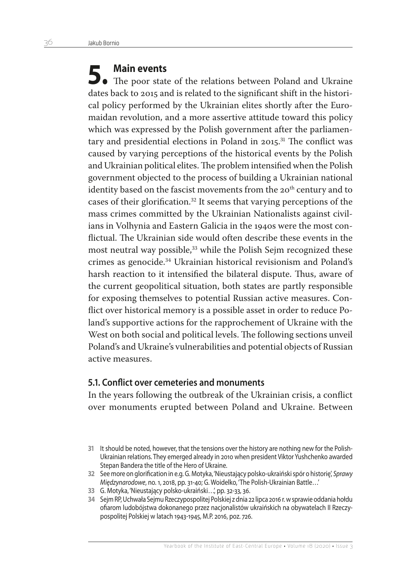**5. Main events** The poor state of the relations between Poland and Ukraine dates back to 2015 and is related to the significant shift in the historical policy performed by the Ukrainian elites shortly after the Euromaidan revolution, and a more assertive attitude toward this policy which was expressed by the Polish government after the parliamentary and presidential elections in Poland in 2015.<sup>31</sup> The conflict was caused by varying perceptions of the historical events by the Polish and Ukrainian political elites. The problem intensified when the Polish government objected to the process of building a Ukrainian national identity based on the fascist movements from the 20<sup>th</sup> century and to cases of their glorification.32 It seems that varying perceptions of the mass crimes committed by the Ukrainian Nationalists against civilians in Volhynia and Eastern Galicia in the 1940s were the most conflictual. The Ukrainian side would often describe these events in the most neutral way possible,<sup>33</sup> while the Polish Sejm recognized these crimes as genocide.34 Ukrainian historical revisionism and Poland's harsh reaction to it intensified the bilateral dispute. Thus, aware of the current geopolitical situation, both states are partly responsible for exposing themselves to potential Russian active measures. Conflict over historical memory is a possible asset in order to reduce Poland's supportive actions for the rapprochement of Ukraine with the West on both social and political levels. The following sections unveil Poland's and Ukraine's vulnerabilities and potential objects of Russian active measures.

#### **5.1. Conflict over cemeteries and monuments**

In the years following the outbreak of the Ukrainian crisis, a conflict over monuments erupted between Poland and Ukraine. Between

- **33** G. Motyka, 'Nieustający polsko-ukraiński…', pp. 32-33, 36.
- **34** Sejm RP, Uchwała Sejmu Rzeczypospolitej Polskiej z dnia 22 lipca 2016 r. w sprawie oddania hołdu ofiarom ludobójstwa dokonanego przez nacjonalistów ukraińskich na obywatelach II Rzeczypospolitej Polskiej w latach 1943-1945, M.P. 2016, poz. 726.

**<sup>31</sup>** It should be noted, however, that the tensions over the history are nothing new for the Polish-Ukrainian relations. They emerged already in 2010 when president Viktor Yushchenko awarded Stepan Bandera the title of the Hero of Ukraine.

**<sup>32</sup>** See more on glorification in e.g. G. Motyka, 'Nieustający polsko-ukraiński spór o historię', *Sprawy Międzynarodowe*, no. 1, 2018, pp. 31-40; G. Woidelko, 'The Polish-Ukrainian Battle…'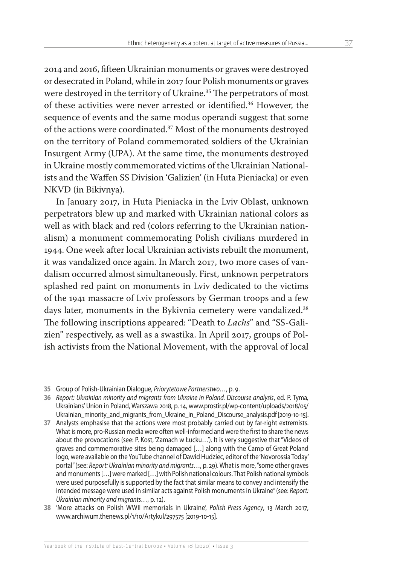2014 and 2016, fifteen Ukrainian monuments or graves were destroyed or desecrated in Poland, while in 2017 four Polish monuments or graves were destroyed in the territory of Ukraine.<sup>35</sup> The perpetrators of most of these activities were never arrested or identified.36 However, the sequence of events and the same modus operandi suggest that some of the actions were coordinated.37 Most of the monuments destroyed on the territory of Poland commemorated soldiers of the Ukrainian Insurgent Army (UPA). At the same time, the monuments destroyed in Ukraine mostly commemorated victims of the Ukrainian Nationalists and the Waffen SS Division 'Galizien' (in Huta Pieniacka) or even NKVD (in Bikivnya).

In January 2017, in Huta Pieniacka in the Lviv Oblast, unknown perpetrators blew up and marked with Ukrainian national colors as well as with black and red (colors referring to the Ukrainian nationalism) a monument commemorating Polish civilians murdered in 1944. One week after local Ukrainian activists rebuilt the monument, it was vandalized once again. In March 2017, two more cases of vandalism occurred almost simultaneously. First, unknown perpetrators splashed red paint on monuments in Lviv dedicated to the victims of the 1941 massacre of Lviv professors by German troops and a few days later, monuments in the Bykivnia cemetery were vandalized.<sup>38</sup> The following inscriptions appeared: "Death to *Lachs*" and "SS-Galizien" respectively, as well as a swastika. In April 2017, groups of Polish activists from the National Movement, with the approval of local

**<sup>35</sup>** Group of Polish-Ukrainian Dialogue, *Priorytetowe Partnerstwo…*, p. 9.

**<sup>36</sup>** *Report: Ukrainian minority and migrants from Ukraine in Poland. Discourse analysis*, ed. P. Tyma*,*  Ukrainians' Union in Poland, Warszawa 2018, p. 14, www.prostir.pl/wp-content/uploads/2018/05/ Ukrainian\_minority\_and\_migrants\_from\_Ukraine\_in\_Poland\_Discourse\_analysis.pdf [2019-10-15].

**<sup>37</sup>** Analysts emphasise that the actions were most probably carried out by far-right extremists. What is more, pro-Russian media were often well-informed and were the first to share the news about the provocations (see: P. Kost, 'Zamach w Łucku…'). It is very suggestive that "Videos of graves and commemorative sites being damaged […] along with the Camp of Great Poland logo, were available on the YouTube channel of Dawid Hudziec, editor of the 'Novorossia Today' portal" (see: *Report: Ukrainian minority and migrants*…, p. 29). What is more, "some other graves and monuments […] were marked […] with Polish national colours. That Polish national symbols were used purposefully is supported by the fact that similar means to convey and intensify the intended message were used in similar acts against Polish monuments in Ukraine" (see: *Report: Ukrainian minority and migrants…*, p. 12).

**<sup>38</sup>** 'More attacks on Polish WWII memorials in Ukraine', *Polish Press Agency*, 13 March 2017, www.archiwum.thenews.pl/1/10/Artykul/297575 [2019-10-15].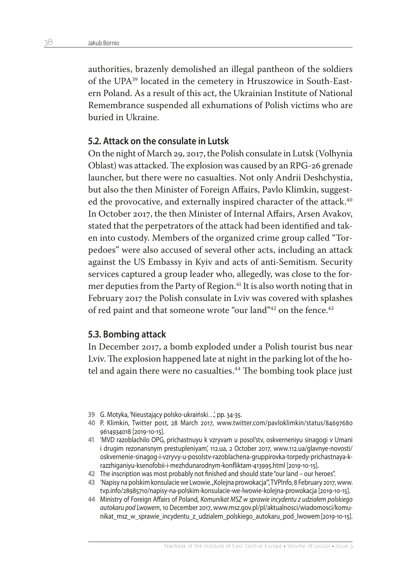authorities, brazenly demolished an illegal pantheon of the soldiers of the UPA39 located in the cemetery in Hruszowice in South-Eastern Poland. As a result of this act, the Ukrainian Institute of National Remembrance suspended all exhumations of Polish victims who are buried in Ukraine.

#### **5.2. Attack on the consulate in Lutsk**

On the night of March 29, 2017, the Polish consulate in Lutsk (Volhynia Oblast) was attacked. The explosion was caused by an RPG-26 grenade launcher, but there were no casualties. Not only Andrii Deshchystia, but also the then Minister of Foreign Affairs, Pavlo Klimkin, suggested the provocative, and externally inspired character of the attack.<sup>40</sup> In October 2017, the then Minister of Internal Affairs, Arsen Avakov, stated that the perpetrators of the attack had been identified and taken into custody. Members of the organized crime group called "Torpedoes" were also accused of several other acts, including an attack against the US Embassy in Kyiv and acts of anti-Semitism. Security services captured a group leader who, allegedly, was close to the former deputies from the Party of Region.<sup>41</sup> It is also worth noting that in February 2017 the Polish consulate in Lviv was covered with splashes of red paint and that someone wrote "our land"<sup>42</sup> on the fence.<sup>43</sup>

#### **5.3. Bombing attack**

In December 2017, a bomb exploded under a Polish tourist bus near Lviv. The explosion happened late at night in the parking lot of the hotel and again there were no casualties.<sup>44</sup> The bombing took place just

- **39** G. Motyka, 'Nieustający polsko-ukraiński…', pp. 34-35.
- **40** P. Klimkin, Twitter post, 28 March 2017, www.twitter.com/pavloklimkin/status/84697680 9614934018 [2019-10-15].
- **41** 'MVD razoblachilo OPG, prichastnuyu k vzryvam u posol'stv, oskverneniyu sinagogi v Umani i drugim rezonansnym prestupleniyam', 112.ua, 2 October 2017, www.112.ua/glavnye-novosti/ oskvernenie-sinagog-i-vzryvy-u-posolstv-razoblachena-gruppirovka-torpedy-prichastnaya-krazzhiganiyu-ksenofobii-i-mezhdunarodnym-konfliktam-413995.html [2019-10-15].
- **42** The inscription was most probably not finished and should state "our land our heroes".
- **43** 'Napisy na polskim konsulacie we Lwowie. "Kolejna prowokacja"', TVPInfo, 8 February 2017, www. tvp.info/28985710/napisy-na-polskim-konsulacie-we-lwowie-kolejna-prowokacja [2019-10-15].
- **44** Ministry of Foreign Affairs of Poland, *Komunikat MSZ w sprawie incydentu z udziałem polskiego autokaru pod Lwowem*, 10 December 2017, www.msz.gov.pl/pl/aktualnosci/wiadomosci/komunikat\_msz\_w\_sprawie\_incydentu\_z\_udzialem\_polskiego\_autokaru\_pod\_lwowem [2019-10-15].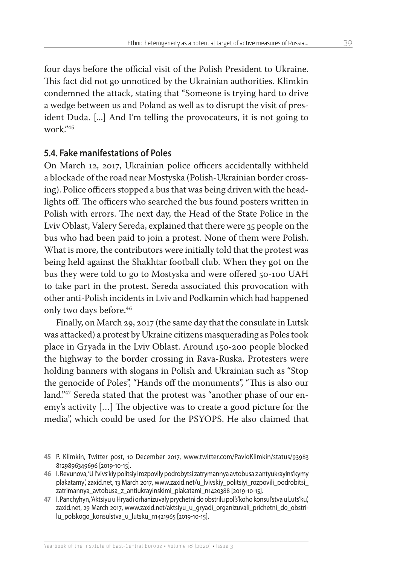four days before the official visit of the Polish President to Ukraine. This fact did not go unnoticed by the Ukrainian authorities. Klimkin condemned the attack, stating that "Someone is trying hard to drive a wedge between us and Poland as well as to disrupt the visit of president Duda. [...] And I'm telling the provocateurs, it is not going to work."45

### **5.4. Fake manifestations of Poles**

On March 12, 2017, Ukrainian police officers accidentally withheld a blockade of the road near Mostyska (Polish-Ukrainian border crossing). Police officers stopped a bus that was being driven with the headlights off. The officers who searched the bus found posters written in Polish with errors. The next day, the Head of the State Police in the Lviv Oblast, Valery Sereda, explained that there were 35 people on the bus who had been paid to join a protest. None of them were Polish. What is more, the contributors were initially told that the protest was being held against the Shakhtar football club. When they got on the bus they were told to go to Mostyska and were offered 50-100 UAH to take part in the protest. Sereda associated this provocation with other anti-Polish incidents in Lviv and Podkamin which had happened only two days before.<sup>46</sup>

Finally, on March 29, 2017 (the same day that the consulate in Lutsk was attacked) a protest by Ukraine citizens masquerading as Poles took place in Gryada in the Lviv Oblast. Around 150-200 people blocked the highway to the border crossing in Rava-Ruska. Protesters were holding banners with slogans in Polish and Ukrainian such as "Stop the genocide of Poles", "Hands off the monuments", "This is also our land."<sup>47</sup> Sereda stated that the protest was "another phase of our enemy's activity […] The objective was to create a good picture for the media", which could be used for the PSYOPS. He also claimed that

- **45** P. Klimkin, Twitter post, 10 December 2017, www.twitter.com/PavloKlimkin/status/93983 8129896349696 [2019-10-15].
- **46** I. Revunova, 'U l'vivs'kiy politsiyi rozpovily podrobytsi zatrymannya avtobusa z antyukrayins'kymy plakatamy', zaxid.net, 13 March 2017, www.zaxid.net/u\_lvivskiy\_politsiyi\_rozpovili\_podrobitsi\_ zatrimannya\_avtobusa\_z\_antiukrayinskimi\_plakatami\_n1420388 [2019-10-15].
- **47** I. Panchyhyn, 'Aktsiyu u Hryadi orhanizuvaly prychetni do obstrilu pol's'koho konsul'stva u Luts'ku', zaxid.net, 29 March 2017, www.zaxid.net/aktsiyu\_u\_gryadi\_organizuvali\_prichetni\_do\_obstrilu polskogo konsulstva u lutsku n1421965 [2019-10-15].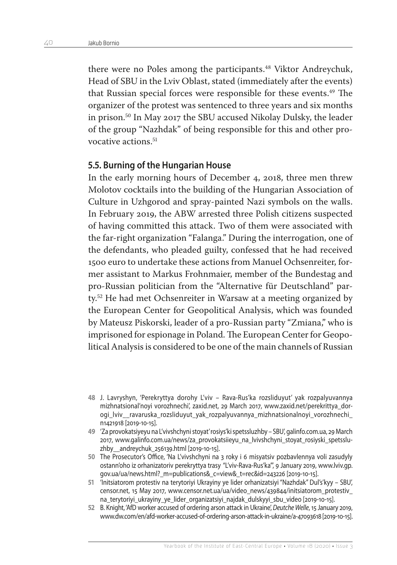there were no Poles among the participants.<sup>48</sup> Viktor Andreychuk, Head of SBU in the Lviv Oblast, stated (immediately after the events) that Russian special forces were responsible for these events.<sup>49</sup> The organizer of the protest was sentenced to three years and six months in prison.50 In May 2017 the SBU accused Nikolay Dulsky, the leader of the group "Nazhdak" of being responsible for this and other provocative actions<sup>51</sup>

#### **5.5. Burning of the Hungarian House**

In the early morning hours of December 4, 2018, three men threw Molotov cocktails into the building of the Hungarian Association of Culture in Uzhgorod and spray-painted Nazi symbols on the walls. In February 2019, the ABW arrested three Polish citizens suspected of having committed this attack. Two of them were associated with the far-right organization "Falanga." During the interrogation, one of the defendants, who pleaded guilty, confessed that he had received 1500 euro to undertake these actions from Manuel Ochsenreiter, former assistant to Markus Frohnmaier, member of the Bundestag and pro-Russian politician from the "Alternative für Deutschland" party.52 He had met Ochsenreiter in Warsaw at a meeting organized by the European Center for Geopolitical Analysis, which was founded by Mateusz Piskorski, leader of a pro-Russian party "Zmiana," who is imprisoned for espionage in Poland. The European Center for Geopolitical Analysis is considered to be one of the main channels of Russian

- **49** 'Za provokatsiyeyu na L'vivshchyni stoyat' rosiys'ki spetssluzhby SBU', galinfo.com.ua, 29 March 2017, www.galinfo.com.ua/news/za\_provokatsiieyu\_na\_lvivshchyni\_stoyat\_rosiyski\_spetssluzhby\_\_andreychuk\_256139.html [2019-10-15].
- **50** The Prosecutor's Office, 'Na L'vivshchyni na 3 roky i 6 misyatsiv pozbavlennya voli zasudyly ostann'oho iz orhanizatoriv perekryttya trasy "L'viv-Rava-Rus'ka"', 9 January 2019, www.lviv.gp. gov.ua/ua/news.html?\_m=publications&\_c=view&\_t=rec&id=243226 [2019-10-15].
- **51** 'Initsiatorom protestiv na terytoriyi Ukrayiny ye lider orhanizatsiyi "Nazhdak" Dul's'kyy SBU', censor.net, 15 May 2017, www.censor.net.ua/ua/video\_news/439844/initsiatorom\_protestiv\_ na\_terytoriyi\_ukrayiny\_ye\_lider\_organizatsiyi\_najdak\_dulskyyi\_sbu\_video [2019-10-15].
- **52** B. Knight, 'AfD worker accused of ordering arson attack in Ukraine', *Deutche Welle*, 15 January 2019, www.dw.com/en/afd-worker-accused-of-ordering-arson-attack-in-ukraine/a-47093618 [2019-10-15].

**<sup>48</sup>** J. Lavryshyn, 'Perekryttya dorohy L'viv – Rava-Rus'ka rozsliduyut' yak rozpalyuvannya mizhnatsional'noyi vorozhnechi', zaxid.net, 29 March 2017, www.zaxid.net/perekrittya\_dorogi lviv\_ravaruska rozsliduyut yak rozpalyuvannya mizhnatsionalnoyi vorozhnechi n1421918 [2019-10-15].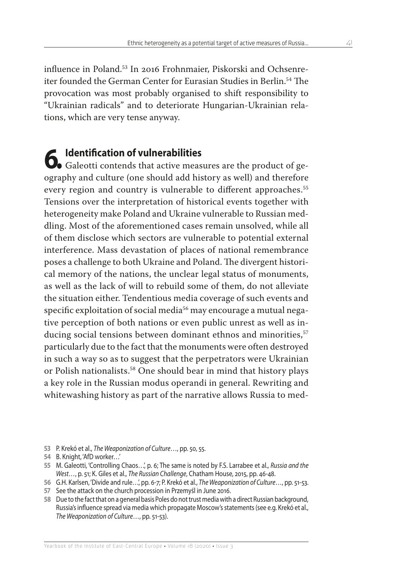influence in Poland.53 In 2016 Frohnmaier, Piskorski and Ochsenreiter founded the German Center for Eurasian Studies in Berlin.<sup>54</sup> The provocation was most probably organised to shift responsibility to "Ukrainian radicals" and to deteriorate Hungarian-Ukrainian relations, which are very tense anyway.

**6.** Identification of vulnerabilities<br>
Galeotti contends that active measures are the product of geography and culture (one should add history as well) and therefore every region and country is vulnerable to different approaches.<sup>55</sup> Tensions over the interpretation of historical events together with heterogeneity make Poland and Ukraine vulnerable to Russian meddling. Most of the aforementioned cases remain unsolved, while all of them disclose which sectors are vulnerable to potential external interference. Mass devastation of places of national remembrance poses a challenge to both Ukraine and Poland. The divergent historical memory of the nations, the unclear legal status of monuments, as well as the lack of will to rebuild some of them, do not alleviate the situation either. Tendentious media coverage of such events and specific exploitation of social media<sup>56</sup> may encourage a mutual negative perception of both nations or even public unrest as well as inducing social tensions between dominant ethnos and minorities,<sup>57</sup> particularly due to the fact that the monuments were often destroyed in such a way so as to suggest that the perpetrators were Ukrainian or Polish nationalists.58 One should bear in mind that history plays a key role in the Russian modus operandi in general. Rewriting and whitewashing history as part of the narrative allows Russia to med-

**<sup>53</sup>** P. Krekó et al., *The Weaponization of Culture*…, pp. 50, 55.

**<sup>54</sup>** B. Knight, 'AfD worker…'

**<sup>55</sup>** M. Galeotti, 'Controlling Chaos…', p. 6; The same is noted by F.S. Larrabee et al., *Russia and the West…*, p. 51; K. Giles et al., *The Russian Challenge*, Chatham House, 2015, pp. 46-48.

**<sup>56</sup>** G.H. Karlsen, 'Divide and rule…', pp. 6-7; P. Krekó et al., *The Weaponization of Culture*…, pp. 51-53.

**<sup>57</sup>** See the attack on the church procession in Przemyśl in June 2016.

**<sup>58</sup>** Due to the fact that on a general basis Poles do not trust media with a direct Russian background, Russia's influence spread via media which propagate Moscow's statements (see e.g. Krekó et al., *The Weaponization of Culture*…, pp. 51-53).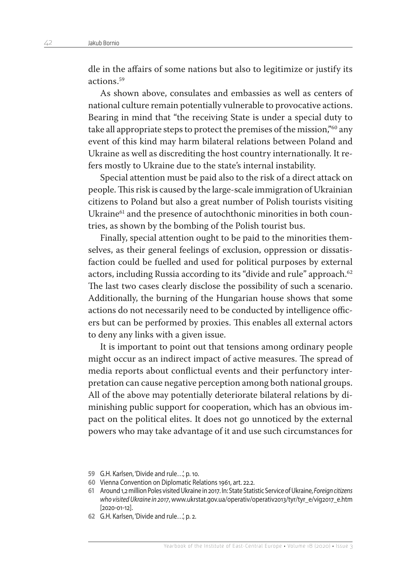dle in the affairs of some nations but also to legitimize or justify its actions<sup>59</sup>

As shown above, consulates and embassies as well as centers of national culture remain potentially vulnerable to provocative actions. Bearing in mind that "the receiving State is under a special duty to take all appropriate steps to protect the premises of the mission,"60 any event of this kind may harm bilateral relations between Poland and Ukraine as well as discrediting the host country internationally. It refers mostly to Ukraine due to the state's internal instability.

Special attention must be paid also to the risk of a direct attack on people. This risk is caused by the large-scale immigration of Ukrainian citizens to Poland but also a great number of Polish tourists visiting Ukraine<sup>61</sup> and the presence of autochthonic minorities in both countries, as shown by the bombing of the Polish tourist bus.

Finally, special attention ought to be paid to the minorities themselves, as their general feelings of exclusion, oppression or dissatisfaction could be fuelled and used for political purposes by external actors, including Russia according to its "divide and rule" approach.<sup>62</sup> The last two cases clearly disclose the possibility of such a scenario. Additionally, the burning of the Hungarian house shows that some actions do not necessarily need to be conducted by intelligence officers but can be performed by proxies. This enables all external actors to deny any links with a given issue.

It is important to point out that tensions among ordinary people might occur as an indirect impact of active measures. The spread of media reports about conflictual events and their perfunctory interpretation can cause negative perception among both national groups. All of the above may potentially deteriorate bilateral relations by diminishing public support for cooperation, which has an obvious impact on the political elites. It does not go unnoticed by the external powers who may take advantage of it and use such circumstances for

**<sup>59</sup>** G.H. Karlsen, 'Divide and rule…', p. 10.

**<sup>60</sup>** Vienna Convention on Diplomatic Relations 1961, art. 22.2.

**<sup>61</sup>** Around 1,2 million Poles visited Ukraine in 2017. In: State Statistic Service of Ukraine, *Foreign citizens who visited Ukraine in 2017*, www.ukrstat.gov.ua/operativ/operativ2013/tyr/tyr\_e/vig2017\_e.htm [2020-01-12].

**<sup>62</sup>** G.H. Karlsen, 'Divide and rule…', p. 2.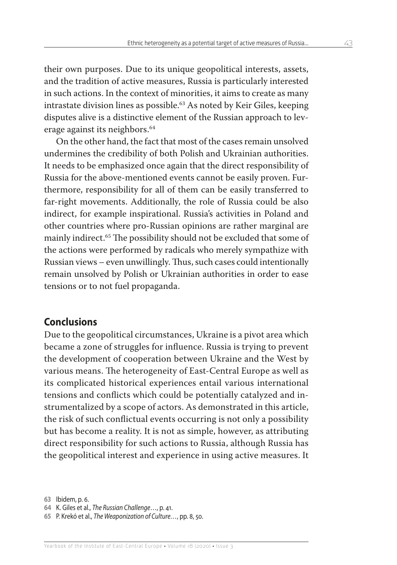their own purposes. Due to its unique geopolitical interests, assets, and the tradition of active measures, Russia is particularly interested in such actions. In the context of minorities, it aims to create as many intrastate division lines as possible.63 As noted by Keir Giles, keeping disputes alive is a distinctive element of the Russian approach to leverage against its neighbors.64

On the other hand, the fact that most of the cases remain unsolved undermines the credibility of both Polish and Ukrainian authorities. It needs to be emphasized once again that the direct responsibility of Russia for the above-mentioned events cannot be easily proven. Furthermore, responsibility for all of them can be easily transferred to far-right movements. Additionally, the role of Russia could be also indirect, for example inspirational. Russia's activities in Poland and other countries where pro-Russian opinions are rather marginal are mainly indirect.65 The possibility should not be excluded that some of the actions were performed by radicals who merely sympathize with Russian views – even unwillingly. Thus, such cases could intentionally remain unsolved by Polish or Ukrainian authorities in order to ease tensions or to not fuel propaganda.

## **Conclusions**

Due to the geopolitical circumstances, Ukraine is a pivot area which became a zone of struggles for influence. Russia is trying to prevent the development of cooperation between Ukraine and the West by various means. The heterogeneity of East-Central Europe as well as its complicated historical experiences entail various international tensions and conflicts which could be potentially catalyzed and instrumentalized by a scope of actors. As demonstrated in this article, the risk of such conflictual events occurring is not only a possibility but has become a reality. It is not as simple, however, as attributing direct responsibility for such actions to Russia, although Russia has the geopolitical interest and experience in using active measures. It

**<sup>63</sup>** Ibidem, p. 6.

**<sup>64</sup>** K. Giles et al., *The Russian Challenge*…, p. 41.

**<sup>65</sup>** P. Krekó et al., *The Weaponization of Culture…*, pp. 8, 50.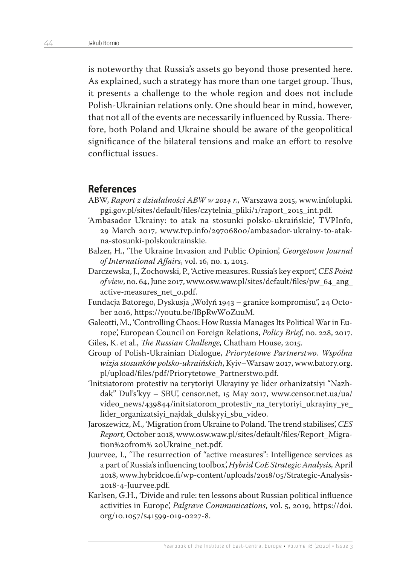is noteworthy that Russia's assets go beyond those presented here. As explained, such a strategy has more than one target group. Thus, it presents a challenge to the whole region and does not include Polish-Ukrainian relations only. One should bear in mind, however, that not all of the events are necessarily influenced by Russia. Therefore, both Poland and Ukraine should be aware of the geopolitical significance of the bilateral tensions and make an effort to resolve conflictual issues.

#### **References**

- ABW, *Raport z działalności ABW w 2014 r.*, Warszawa 2015, [www.infolupki.](https://infolupki.pgi.gov.pl/sites/default/files/czytelnia_pliki/1/raport_2015_int.pdf) [pgi.gov.pl/sites/default/files/czytelnia\\_pliki/1/raport\\_2015\\_int.pdf](https://infolupki.pgi.gov.pl/sites/default/files/czytelnia_pliki/1/raport_2015_int.pdf).
- 'Ambasador Ukrainy: to atak na stosunki polsko-ukraińskie', TVPInfo, 29 March 2017, [www.tvp.info/29706800/ambasador-ukrainy-to-atak](https://www.tvp.info/29706800/ambasador-ukrainy-to-atak-na-stosunki-polskoukrainskie)[na-stosunki-polskoukrainskie.](https://www.tvp.info/29706800/ambasador-ukrainy-to-atak-na-stosunki-polskoukrainskie)
- Balzer, H., 'The Ukraine Invasion and Public Opinion', *Georgetown Journal of International Affairs*, vol. 16, no. 1, 2015.
- Darczewska, J., Żochowski, P., 'Active measures. Russia's key export', *CES Point of view*, no. 64, June 2017, www.osw.waw.pl/sites/default/files/pw\_64\_ang\_ active-measures\_net\_0.pdf.
- Fundacja Batorego, Dyskusja "Wołyń 1943 granice kompromisu", 24 October 2016, https://youtu.be/lBpRwW0ZuuM.
- Galeotti, M., 'Controlling Chaos: How Russia Manages Its Political War in Europe', European Council on Foreign Relations, *Policy Brief*, no. 228, 2017.
- Giles, K. et al., *The Russian Challenge*, Chatham House, 2015.
- Group of Polish-Ukrainian Dialogue, *Priorytetowe Partnerstwo. Wspólna wizja stosunków polsko-ukraińskich*, Kyiv–Warsaw 2017, www.batory.org. pl/upload/files/pdf/Priorytetowe\_Partnerstwo.pdf.
- 'Initsiatorom protestiv na terytoriyi Ukrayiny ye lider orhanizatsiyi "Nazhdak" Dul's'kyy – SBU', censor.net, 15 May 2017, [www.censor.net.ua/ua/](https://censor.net.ua/ua/video_news/439844/initsiatorom_protestiv_na_terytoriyi_ukrayiny_ye_lider_organizatsiyi_najdak_dulskyyi_sbu_video) [video\\_news/439844/initsiatorom\\_protestiv\\_na\\_terytoriyi\\_ukrayiny\\_ye\\_](https://censor.net.ua/ua/video_news/439844/initsiatorom_protestiv_na_terytoriyi_ukrayiny_ye_lider_organizatsiyi_najdak_dulskyyi_sbu_video) [lider\\_organizatsiyi\\_najdak\\_dulskyyi\\_sbu\\_video.](https://censor.net.ua/ua/video_news/439844/initsiatorom_protestiv_na_terytoriyi_ukrayiny_ye_lider_organizatsiyi_najdak_dulskyyi_sbu_video)
- Jaroszewicz, M., 'Migration from Ukraine to Poland. The trend stabilises', *CES Report*, October 2018, [www.osw.waw.pl/sites/default/files/Report\\_Migra](http://www.osw.waw.pl/sites/default/files/Report_Migration%20from%25%2020Ukraine_net.pdf)[tion%20from% 20Ukraine\\_net.pdf](http://www.osw.waw.pl/sites/default/files/Report_Migration%20from%25%2020Ukraine_net.pdf).
- Juurvee, I., 'The resurrection of "active measures": Intelligence services as a part of Russia's influencing toolbox', *Hybrid CoE Strategic Analysis,* April 2018, www.hybridcoe.fi/wp-content/uploads/2018/05/Strategic-Analysis-2018-4-Juurvee.pdf.
- Karlsen, G.H., 'Divide and rule: ten lessons about Russian political influence activities in Europe', *Palgrave Communications*, vol. 5, 2019, https://doi. org/10.1057/s41599-019-0227-8.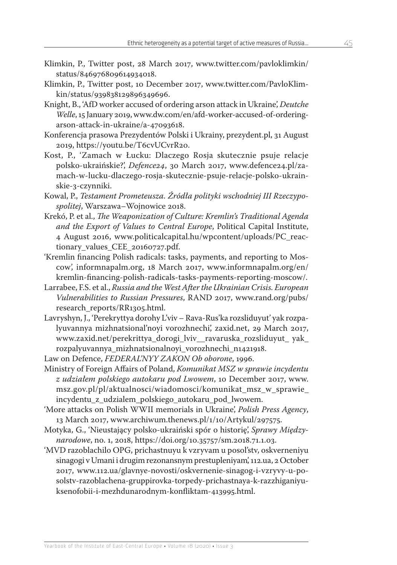- Klimkin, P., Twitter post, 28 March 2017, [www.twitter.com/pavloklimkin/](https://twitter.com/pavloklimkin/status/846976809614934018) [status/846976809614934018](https://twitter.com/pavloklimkin/status/846976809614934018).
- Klimkin, P., Twitter post, 10 December 2017, [www.twitter.com/PavloKlim](https://twitter.com/PavloKlimkin/status/939838129896349696)[kin/status/939838129896349696](https://twitter.com/PavloKlimkin/status/939838129896349696).
- Knight, B., 'AfD worker accused of ordering arson attack in Ukraine', *Deutche Welle*, 15 January 2019, www.dw.com/en/afd-worker-accused-of-orderingarson-attack-in-ukraine/a-47093618.
- Konferencja prasowa Prezydentów Polski i Ukrainy, prezydent.pl, 31 August 2019, [https://youtu.be/T6cvUCvrR20.](https://www.youtube.com/watch?v=T6cvUCvrR20)
- Kost, P., 'Zamach w Łucku: Dlaczego Rosja skutecznie psuje relacje polsko-ukraińskie?', *Defence24*, 30 March 2017, [www.defence24.pl/za](https://www.defence24.pl/zamach-w-lucku-dlaczego-rosja-skutecznie-psuje-relacje-polsko-ukrainskie-3-czynniki)[mach-w-lucku-dlaczego-rosja-skutecznie-psuje-relacje-polsko-ukrain](https://www.defence24.pl/zamach-w-lucku-dlaczego-rosja-skutecznie-psuje-relacje-polsko-ukrainskie-3-czynniki)[skie-3-czynniki.](https://www.defence24.pl/zamach-w-lucku-dlaczego-rosja-skutecznie-psuje-relacje-polsko-ukrainskie-3-czynniki)
- Kowal, P., *Testament Prometeusza. Źródła polityki wschodniej III Rzeczypospolitej*, Warszawa–Wojnowice 2018.
- Krekó, P. et al., *The Weaponization of Culture: Kremlin's Traditional Agenda and the Export of Values to Central Europe*, Political Capital Institute, 4 August 2016, [www.politicalcapital.hu/wpcontent/uploads/PC\\_reac](http://www.politicalcapital.hu/wpcontent/uploads/PC_reactionary_values_CEE_20160727.pdf)tionary values CEE 20160727.pdf.
- 'Kremlin financing Polish radicals: tasks, payments, and reporting to Moscow', informnapalm.org, 18 March 2017, [www.informnapalm.org/en/](https://informnapalm.org/en/kremlin-financing-polish-radicals-tasks-payments-reporting-moscow/) [kremlin-financing-polish-radicals-tasks-payments-reporting-moscow/](https://informnapalm.org/en/kremlin-financing-polish-radicals-tasks-payments-reporting-moscow/).
- Larrabee, F.S. et al., *Russia and the West After the Ukrainian Crisis. European Vulnerabilities to Russian Pressures*, RAND 2017, [www.rand.org/pubs/](http://www.rand.org/pubs/research_reports/RR1305.html) [research\\_reports/RR1305.html](http://www.rand.org/pubs/research_reports/RR1305.html).
- Lavryshyn, J., 'Perekryttya dorohy L'viv Rava-Rus'ka rozsliduyut' yak rozpalyuvannya mizhnatsional'noyi vorozhnechi', zaxid.net, 29 March 2017, [www.zaxid.net/perekrittya\\_dorogi\\_lviv\\_\\_ravaruska\\_rozsliduyut\\_ yak\\_](http://www.zaxid.net/perekrittya_dorogi_lviv__ravaruska_rozsliduyut_%20yak_rozpalyuvannya_mizhnatsionalnoyi_vorozhnechi_n1421918) [rozpalyuvannya\\_mizhnatsionalnoyi\\_vorozhnechi\\_n1421918](http://www.zaxid.net/perekrittya_dorogi_lviv__ravaruska_rozsliduyut_%20yak_rozpalyuvannya_mizhnatsionalnoyi_vorozhnechi_n1421918).
- Law on Defence, *FEDERAL'NYY ZAKON Ob oborone*, 1996.
- Ministry of Foreign Affairs of Poland, *Komunikat MSZ w sprawie incydentu z udziałem polskiego autokaru pod Lwowem*, 10 December 2017, [www.](https://msz.gov.pl/pl/aktualnosci/wiadomosci/komunikat_msz_w_sprawie_incydentu_z_udzialem_polskiego_autokaru_pod_lwowem) [msz.gov.pl/pl/aktualnosci/wiadomosci/komunikat\\_msz\\_w\\_sprawie\\_](https://msz.gov.pl/pl/aktualnosci/wiadomosci/komunikat_msz_w_sprawie_incydentu_z_udzialem_polskiego_autokaru_pod_lwowem) [incydentu\\_z\\_udzialem\\_polskiego\\_autokaru\\_pod\\_lwowem.](https://msz.gov.pl/pl/aktualnosci/wiadomosci/komunikat_msz_w_sprawie_incydentu_z_udzialem_polskiego_autokaru_pod_lwowem)
- 'More attacks on Polish WWII memorials in Ukraine', *Polish Press Agency*, 13 March 2017, [www.archiwum.thenews.pl/1/10/Artykul/297575](http://archiwum.thenews.pl/1/10/Artykul/297575).
- Motyka, G., 'Nieustający polsko-ukraiński spór o historię', *Sprawy Międzynarodowe*, no. 1, 2018, https://doi.org/10.35757/sm.2018.71.1.03.
- 'MVD razoblachilo OPG, prichastnuyu k vzryvam u posol'stv, oskverneniyu sinagogi v Umani i drugim rezonansnym prestupleniyam', 112.ua, 2 October 2017, [www.112.ua/glavnye-novosti/oskvernenie-sinagog-i-vzryvy-u-po](https://112.ua/glavnye-novosti/oskvernenie-sinagog-i-vzryvy-u-posolstv-razoblachena-gruppirovka-torpedy-prichastnaya-k-razzhiganiyu-ksenofobii-i-mezhdunarodnym-konfliktam-413995.html)[solstv-razoblachena-gruppirovka-torpedy-prichastnaya-k-razzhiganiyu](https://112.ua/glavnye-novosti/oskvernenie-sinagog-i-vzryvy-u-posolstv-razoblachena-gruppirovka-torpedy-prichastnaya-k-razzhiganiyu-ksenofobii-i-mezhdunarodnym-konfliktam-413995.html)[ksenofobii-i-mezhdunarodnym-konfliktam-413995.html.](https://112.ua/glavnye-novosti/oskvernenie-sinagog-i-vzryvy-u-posolstv-razoblachena-gruppirovka-torpedy-prichastnaya-k-razzhiganiyu-ksenofobii-i-mezhdunarodnym-konfliktam-413995.html)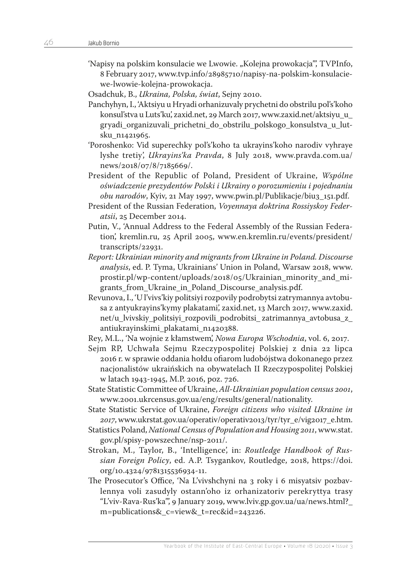- 'Napisy na polskim konsulacie we Lwowie. "Kolejna prowokacja"', TVPInfo, 8 February 2017, [www.tvp.info/28985710/napisy-na-polskim-konsulacie](https://www.tvp.info/28985710/napisy-na-polskim-konsulacie-we-lwowie-kolejna-prowokacja)[we-lwowie-kolejna-prowokacja.](https://www.tvp.info/28985710/napisy-na-polskim-konsulacie-we-lwowie-kolejna-prowokacja)
- Osadchuk, B., *Ukraina, Polska, świat*, Sejny 2010.
- Panchyhyn, I., 'Aktsiyu u Hryadi orhanizuvaly prychetni do obstrilu pol's'koho konsul'stva u Luts'ku', zaxid.net, 29 March 2017, [www.zaxid.net/aktsiyu\\_u\\_](http://www.zaxid.net/aktsiyu_u_%20gryadi_organizuvali_prichetni_do_obstrilu_polskogo_konsulstva_u_lutsku_n1421965)  gryadi organizuvali prichetni do obstrilu polskogo konsulstva u lut[sku\\_n1421965.](http://www.zaxid.net/aktsiyu_u_%20gryadi_organizuvali_prichetni_do_obstrilu_polskogo_konsulstva_u_lutsku_n1421965)
- 'Poroshenko: Vid superechky pol's'koho ta ukrayins'koho narodiv vyhraye lyshe tretiy', *Ukrayins'ka Pravda*, 8 July 2018, [www.pravda.com.ua/](https://www.pravda.com.ua/news/2018/07/8/7185669/) [news/2018/07/8/7185669/.](https://www.pravda.com.ua/news/2018/07/8/7185669/)
- President of the Republic of Poland, President of Ukraine, *Wspólne oświadczenie prezydentów Polski i Ukrainy o porozumieniu i pojednaniu obu narodów*, Kyiv, 21 May 1997, [www.pwin.pl/Publikacje/biu3\\_151.pdf.](http://www.pwin.pl/Publikacje/biu3_151.pdf)
- President of the Russian Federation, *Voyennaya doktrina Rossiyskoy Federatsii*, 25 December 2014.
- Putin, V., 'Annual Address to the Federal Assembly of the Russian Federation', kremlin.ru, 25 April 2005, [www.en.kremlin.ru/events/president/](http://en.kremlin.ru/events/president/transcripts/22931) [transcripts/22931.](http://en.kremlin.ru/events/president/transcripts/22931)
- *Report: Ukrainian minority and migrants from Ukraine in Poland. Discourse analysis*, ed. P. Tyma, Ukrainians' Union in Poland, Warsaw 2018, [www.](https://prostir.pl/wp-content/uploads/2018/05/Ukrainian_minority_and_migrants_from_Ukraine_in_Poland_Discourse_analysis.pdf) [prostir.pl/wp-content/uploads/2018/05/Ukrainian\\_minority\\_and\\_mi](https://prostir.pl/wp-content/uploads/2018/05/Ukrainian_minority_and_migrants_from_Ukraine_in_Poland_Discourse_analysis.pdf)[grants\\_from\\_Ukraine\\_in\\_Poland\\_Discourse\\_analysis.pdf.](https://prostir.pl/wp-content/uploads/2018/05/Ukrainian_minority_and_migrants_from_Ukraine_in_Poland_Discourse_analysis.pdf)
- Revunova, I., 'U l'vivs'kiy politsiyi rozpovily podrobytsi zatrymannya avtobusa z antyukrayins'kymy plakatami', zaxid.net, 13 March 2017, [www.zaxid.](http://www.zaxid.net/u_lvivskiy_politsiyi_rozpovili_podrobitsi_%20zatrimannya_avtobusa_z_antiukrayinskimi_plakatami_n1420388) [net/u\\_lvivskiy\\_politsiyi\\_rozpovili\\_podrobitsi\\_ zatrimannya\\_avtobusa\\_z\\_](http://www.zaxid.net/u_lvivskiy_politsiyi_rozpovili_podrobitsi_%20zatrimannya_avtobusa_z_antiukrayinskimi_plakatami_n1420388) [antiukrayinskimi\\_plakatami\\_n1420388.](http://www.zaxid.net/u_lvivskiy_politsiyi_rozpovili_podrobitsi_%20zatrimannya_avtobusa_z_antiukrayinskimi_plakatami_n1420388)
- Rey, M.L., 'Na wojnie z kłamstwem', *Nowa Europa Wschodnia*, vol. 6, 2017.
- Sejm RP, Uchwała Sejmu Rzeczypospolitej Polskiej z dnia 22 lipca 2016 r. w sprawie oddania hołdu ofiarom ludobójstwa dokonanego przez nacjonalistów ukraińskich na obywatelach II Rzeczypospolitej Polskiej w latach 1943-1945, M.P. 2016, poz. 726.
- State Statistic Committee of Ukraine, *All-Ukrainian population census 2001*, [www.2001.ukrcensus.gov.ua/eng/results/general/nationality](http://2001.ukrcensus.gov.ua/eng/results/general/nationality).
- State Statistic Service of Ukraine, *Foreign citizens who visited Ukraine in 2017*, [www.ukrstat.gov.ua/operativ/operativ2013/tyr/tyr\\_e/vig2017\\_e.htm](http://www.ukrstat.gov.ua/operativ/operativ2013/tyr/tyr_e/vig2017_e.htm).
- Statistics Poland, *National Census of Population and Housing 2011*, [www.stat.](https://stat.gov.pl/spisy-powszechne/nsp-2011/) [gov.pl/spisy-powszechne/nsp-2011/.](https://stat.gov.pl/spisy-powszechne/nsp-2011/)
- Strokan, M., Taylor, B., 'Intelligence', in: *Routledge Handbook of Russian Foreign Policy*, ed. A.P. Tsygankov, Routledge, 2018, https://doi. org/10.4324/9781315536934-11.
- The Prosecutor's Office, 'Na L'vivshchyni na 3 roky i 6 misyatsiv pozbavlennya voli zasudyly ostann'oho iz orhanizatoriv perekryttya trasy "L'viv-Rava-Rus'ka"', 9 January 2019, [www.lviv.gp.gov.ua/ua/news.html?\\_](https://lviv.gp.gov.ua/ua/news.html?_m=publications&_c=view&_t=rec&id=243226) [m=publications&\\_c=view&\\_t=rec&id=243226.](https://lviv.gp.gov.ua/ua/news.html?_m=publications&_c=view&_t=rec&id=243226)